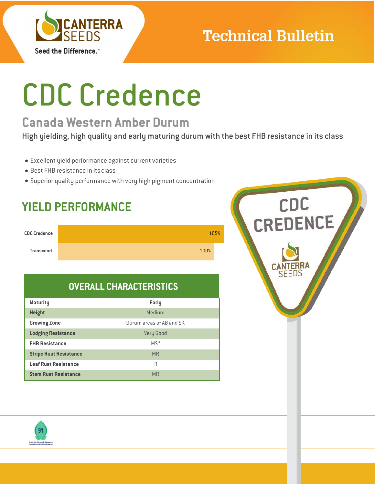

# **Technical Bulletin**

# CDC Credence

## **Canada Western Amber Durum**

High yielding, high quality and early maturing durum with the best FHB resistance in its class

- Excellent yield performance against current varieties
- Best FHB resistance in itsclass
- Superior quality performance with very high pigment concentration

## **YIELD PERFORMANCE**



## **OVERALL CHARACTERISTICS**

| <b>Maturity</b>               | Early                    |
|-------------------------------|--------------------------|
| <b>Height</b>                 | Medium                   |
| <b>Growing Zone</b>           | Durum areas of AB and SK |
| <b>Lodging Resistance</b>     | <b>Very Good</b>         |
| <b>FHB Resistance</b>         | $MS^*$                   |
| <b>Stripe Rust Resistance</b> | <b>MR</b>                |
| <b>Leaf Rust Resistance</b>   | R                        |
| <b>Stem Rust Resistance</b>   | <b>MR</b>                |